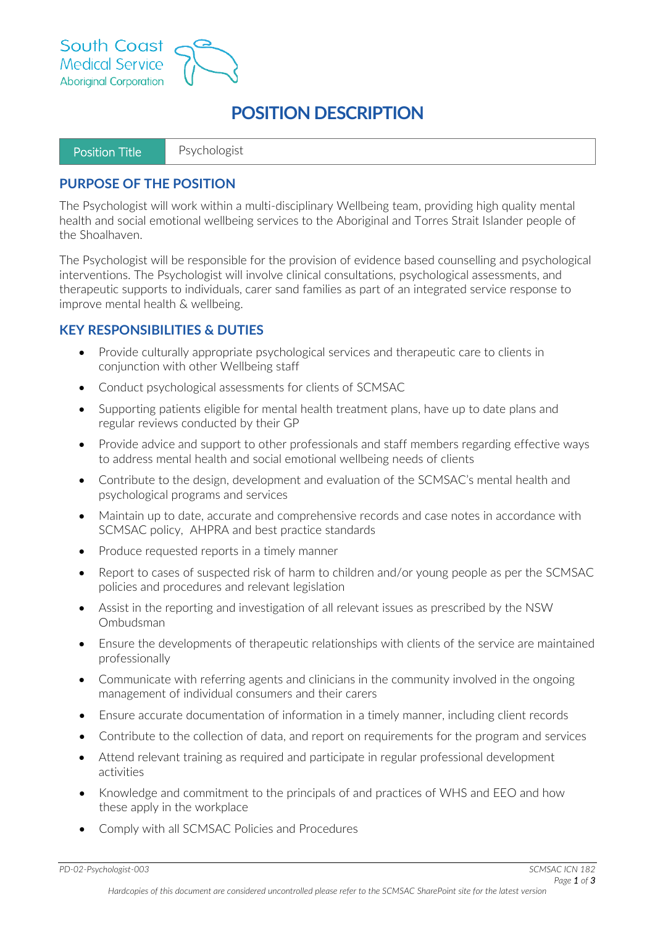



| Position Title | Psychologist |
|----------------|--------------|
|----------------|--------------|

#### **PURPOSE OF THE POSITION**

The Psychologist will work within a multi-disciplinary Wellbeing team, providing high quality mental health and social emotional wellbeing services to the Aboriginal and Torres Strait Islander people of the Shoalhaven.

The Psychologist will be responsible for the provision of evidence based counselling and psychological interventions. The Psychologist will involve clinical consultations, psychological assessments, and therapeutic supports to individuals, carer sand families as part of an integrated service response to improve mental health & wellbeing.

#### **KEY RESPONSIBILITIES & DUTIES**

- Provide culturally appropriate psychological services and therapeutic care to clients in conjunction with other Wellbeing staff
- Conduct psychological assessments for clients of SCMSAC
- Supporting patients eligible for mental health treatment plans, have up to date plans and regular reviews conducted by their GP
- Provide advice and support to other professionals and staff members regarding effective ways to address mental health and social emotional wellbeing needs of clients
- Contribute to the design, development and evaluation of the SCMSAC's mental health and psychological programs and services
- Maintain up to date, accurate and comprehensive records and case notes in accordance with SCMSAC policy, AHPRA and best practice standards
- Produce requested reports in a timely manner
- Report to cases of suspected risk of harm to children and/or young people as per the SCMSAC policies and procedures and relevant legislation
- Assist in the reporting and investigation of all relevant issues as prescribed by the NSW Ombudsman
- Ensure the developments of therapeutic relationships with clients of the service are maintained professionally
- Communicate with referring agents and clinicians in the community involved in the ongoing management of individual consumers and their carers
- Ensure accurate documentation of information in a timely manner, including client records
- Contribute to the collection of data, and report on requirements for the program and services
- Attend relevant training as required and participate in regular professional development activities
- Knowledge and commitment to the principals of and practices of WHS and EEO and how these apply in the workplace
- Comply with all SCMSAC Policies and Procedures

*PD-02-Psychologist-003 SCMSAC ICN 182*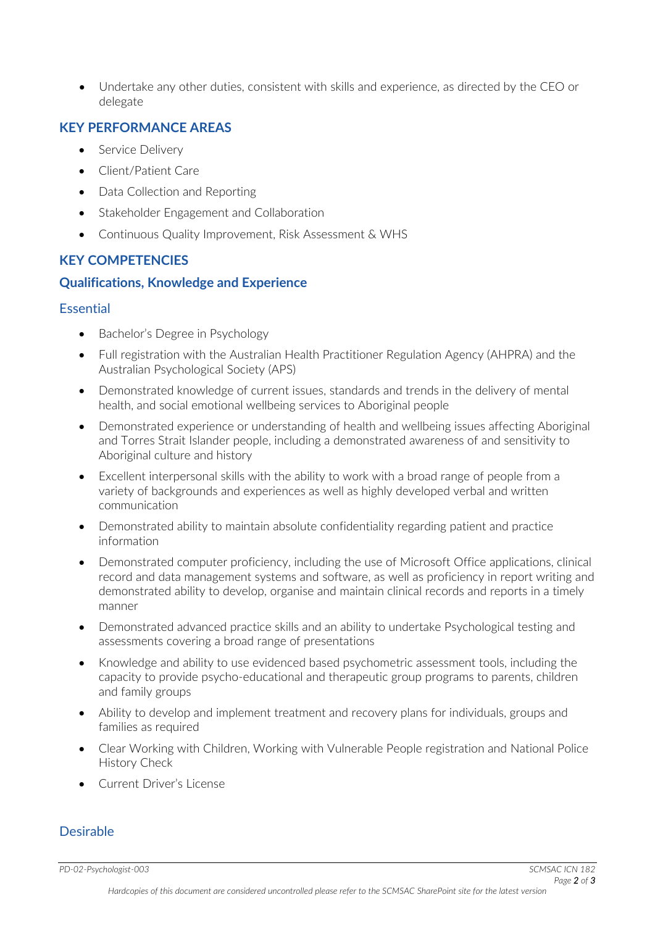• Undertake any other duties, consistent with skills and experience, as directed by the CEO or delegate

## **KEY PERFORMANCE AREAS**

- Service Delivery
- Client/Patient Care
- Data Collection and Reporting
- Stakeholder Engagement and Collaboration
- Continuous Quality Improvement, Risk Assessment & WHS

## **KEY COMPETENCIES**

### **Qualifications, Knowledge and Experience**

#### Essential

- Bachelor's Degree in Psychology
- Full registration with the Australian Health Practitioner Regulation Agency (AHPRA) and the Australian Psychological Society (APS)
- Demonstrated knowledge of current issues, standards and trends in the delivery of mental health, and social emotional wellbeing services to Aboriginal people
- Demonstrated experience or understanding of health and wellbeing issues affecting Aboriginal and Torres Strait Islander people, including a demonstrated awareness of and sensitivity to Aboriginal culture and history
- Excellent interpersonal skills with the ability to work with a broad range of people from a variety of backgrounds and experiences as well as highly developed verbal and written communication
- Demonstrated ability to maintain absolute confidentiality regarding patient and practice information
- Demonstrated computer proficiency, including the use of Microsoft Office applications, clinical record and data management systems and software, as well as proficiency in report writing and demonstrated ability to develop, organise and maintain clinical records and reports in a timely manner
- Demonstrated advanced practice skills and an ability to undertake Psychological testing and assessments covering a broad range of presentations
- Knowledge and ability to use evidenced based psychometric assessment tools, including the capacity to provide psycho-educational and therapeutic group programs to parents, children and family groups
- Ability to develop and implement treatment and recovery plans for individuals, groups and families as required
- Clear Working with Children, Working with Vulnerable People registration and National Police History Check
- Current Driver's License

### Desirable

*PD-02-Psychologist-003 SCMSAC ICN 182*